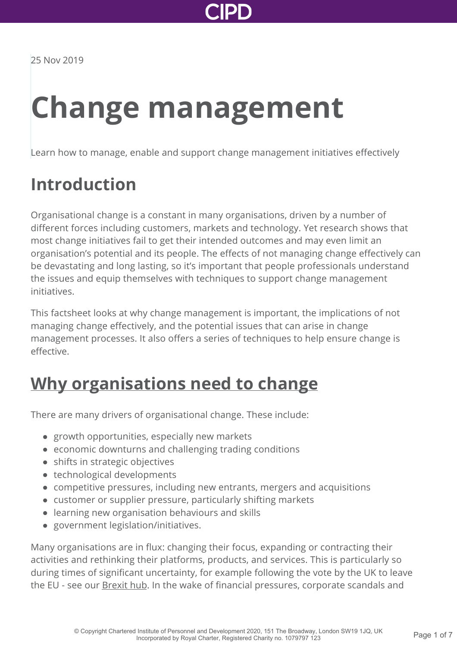

# **Change management**

Learn how to manage, enable and support change management initiatives effectively

## **Introduction**

Organisational change is a constant in many organisations, driven by a number of different forces including customers, markets and technology. Yet research shows that most change initiatives fail to get their intended outcomes and may even limit an organisation's potential and its people. The effects of not managing change effectively can be devastating and long lasting, so it's important that people professionals understand the issues and equip themselves with techniques to support change management initiatives.

This factsheet looks at why change management is important, the implications of not managing change effectively, and the potential issues that can arise in change management processes. It also offers a series of techniques to help ensure change is effective.

### **[Why organisations need to change](https://www.cipd.co.uk/knowledge/strategy/change/management-factsheet?pdf=true#)**

There are many drivers of organisational change. These include:

- growth opportunities, especially new markets
- economic downturns and challenging trading conditions
- shifts in strategic objectives
- technological developments
- competitive pressures, including new entrants, mergers and acquisitions
- customer or supplier pressure, particularly shifting markets
- learning new organisation behaviours and skills
- government legislation/initiatives.

Many organisations are in flux: changing their focus, expanding or contracting their activities and rethinking their platforms, products, and services. This is particularly so during times of significant uncertainty, for example following the vote by the UK to leave the EU - see our **[Brexit hub.](https://www.cipd.co.uk:443/news-views/brexit-hub/)** In the wake of financial pressures, corporate scandals and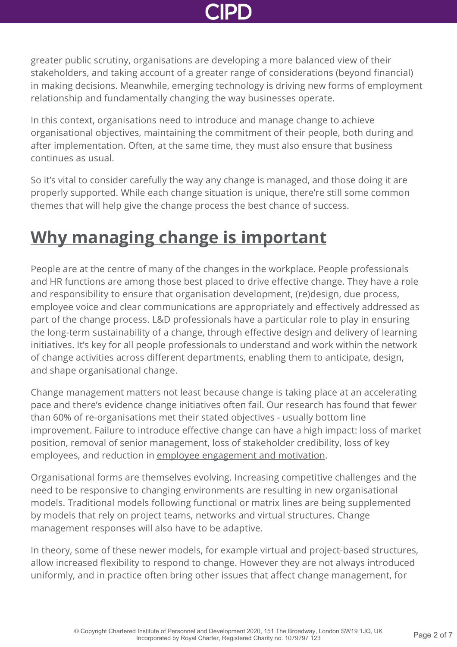greater public scrutiny, organisations are developing a more balanced view of their stakeholders, and taking account of a greater range of considerations (beyond financial) in making decisions. Meanwhile, [emerging technology](http://www.cipd.co.uk/knowledge/work/technology/emerging-future-work-factsheet/) is driving new forms of employment relationship and fundamentally changing the way businesses operate.

In this context, organisations need to introduce and manage change to achieve organisational objectives, maintaining the commitment of their people, both during and after implementation. Often, at the same time, they must also ensure that business continues as usual.

So it's vital to consider carefully the way any change is managed, and those doing it are properly supported. While each change situation is unique, there're still some common themes that will help give the change process the best chance of success.

### **[Why managing change is important](https://www.cipd.co.uk/knowledge/strategy/change/management-factsheet?pdf=true#)**

People are at the centre of many of the changes in the workplace. People professionals and HR functions are among those best placed to drive effective change. They have a role and responsibility to ensure that organisation development, (re)design, due process, employee voice and clear communications are appropriately and effectively addressed as part of the change process. L&D professionals have a particular role to play in ensuring the long-term sustainability of a change, through effective design and delivery of learning initiatives. It's key for all people professionals to understand and work within the network of change activities across different departments, enabling them to anticipate, design, and shape organisational change.

Change management matters not least because change is taking place at an accelerating pace and there's evidence change initiatives often fail. Our research has found that fewer than 60% of re-organisations met their stated objectives - usually bottom line improvement. Failure to introduce effective change can have a high impact: loss of market position, removal of senior management, loss of stakeholder credibility, loss of key employees, and reduction in [employee engagement and motivation](https://www.cipd.co.uk:443/knowledge/fundamentals/relations/engagement/factsheet/).

Organisational forms are themselves evolving. Increasing competitive challenges and the need to be responsive to changing environments are resulting in new organisational models. Traditional models following functional or matrix lines are being supplemented by models that rely on project teams, networks and virtual structures. Change management responses will also have to be adaptive.

In theory, some of these newer models, for example virtual and project-based structures, allow increased flexibility to respond to change. However they are not always introduced uniformly, and in practice often bring other issues that affect change management, for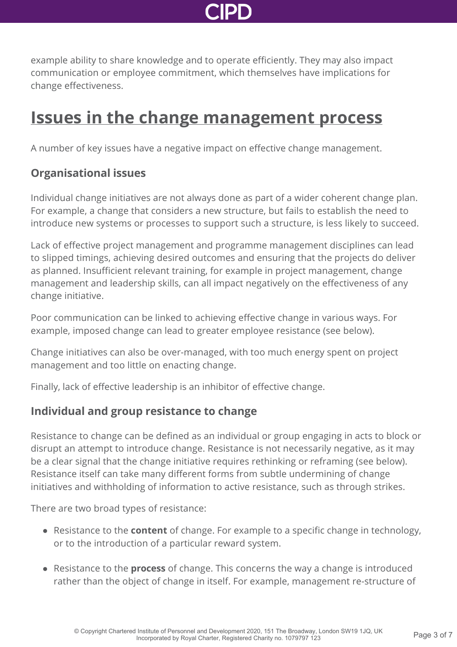

example ability to share knowledge and to operate efficiently. They may also impact communication or employee commitment, which themselves have implications for change effectiveness.

### **[Issues in the change management process](https://www.cipd.co.uk/knowledge/strategy/change/management-factsheet?pdf=true#)**

A number of key issues have a negative impact on effective change management.

#### **Organisational issues**

Individual change initiatives are not always done as part of a wider coherent change plan. For example, a change that considers a new structure, but fails to establish the need to introduce new systems or processes to support such a structure, is less likely to succeed.

Lack of effective project management and programme management disciplines can lead to slipped timings, achieving desired outcomes and ensuring that the projects do deliver as planned. Insufficient relevant training, for example in project management, change management and leadership skills, can all impact negatively on the effectiveness of any change initiative.

Poor communication can be linked to achieving effective change in various ways. For example, imposed change can lead to greater employee resistance (see below).

Change initiatives can also be over-managed, with too much energy spent on project management and too little on enacting change.

Finally, lack of effective leadership is an inhibitor of effective change.

#### **Individual and group resistance to change**

Resistance to change can be defined as an individual or group engaging in acts to block or disrupt an attempt to introduce change. Resistance is not necessarily negative, as it may be a clear signal that the change initiative requires rethinking or reframing (see below). Resistance itself can take many different forms from subtle undermining of change initiatives and withholding of information to active resistance, such as through strikes.

There are two broad types of resistance:

- Resistance to the **content** of change. For example to a specific change in technology, or to the introduction of a particular reward system.
- Resistance to the **process** of change. This concerns the way a change is introduced rather than the object of change in itself. For example, management re-structure of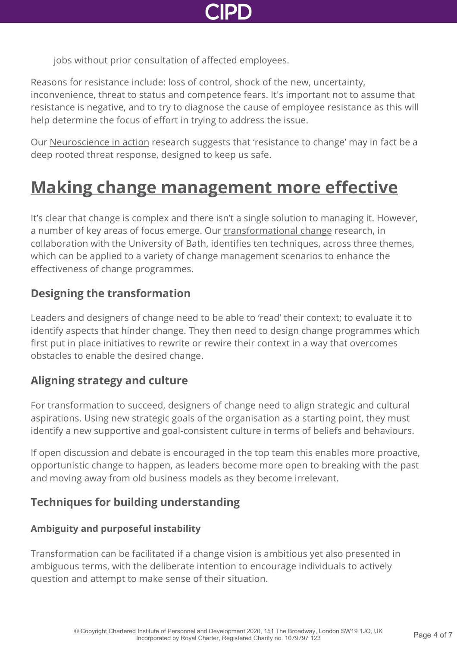

jobs without prior consultation of affected employees.

Reasons for resistance include: loss of control, shock of the new, uncertainty, inconvenience, threat to status and competence fears. It's important not to assume that resistance is negative, and to try to diagnose the cause of employee resistance as this will help determine the focus of effort in trying to address the issue.

Our [Neuroscience in action](http://www.cipd.co.uk/knowledge/culture/behaviour/learning-report/) research suggests that 'resistance to change' may in fact be a deep rooted threat response, designed to keep us safe.

## **[Making change management more effective](https://www.cipd.co.uk/knowledge/strategy/change/management-factsheet?pdf=true#)**

It's clear that change is complex and there isn't a single solution to managing it. However, a number of key areas of focus emerge. Our [transformational change](http://www.cipd.co.uk/knowledge/strategy/change/theory-practice-report/) research, in collaboration with the University of Bath, identifies ten techniques, across three themes, which can be applied to a variety of change management scenarios to enhance the effectiveness of change programmes.

#### **Designing the transformation**

Leaders and designers of change need to be able to 'read' their context; to evaluate it to identify aspects that hinder change. They then need to design change programmes which first put in place initiatives to rewrite or rewire their context in a way that overcomes obstacles to enable the desired change.

### **Aligning strategy and culture**

For transformation to succeed, designers of change need to align strategic and cultural aspirations. Using new strategic goals of the organisation as a starting point, they must identify a new supportive and goal-consistent culture in terms of beliefs and behaviours.

If open discussion and debate is encouraged in the top team this enables more proactive, opportunistic change to happen, as leaders become more open to breaking with the past and moving away from old business models as they become irrelevant.

### **Techniques for building understanding**

#### **Ambiguity and purposeful instability**

Transformation can be facilitated if a change vision is ambitious yet also presented in ambiguous terms, with the deliberate intention to encourage individuals to actively question and attempt to make sense of their situation.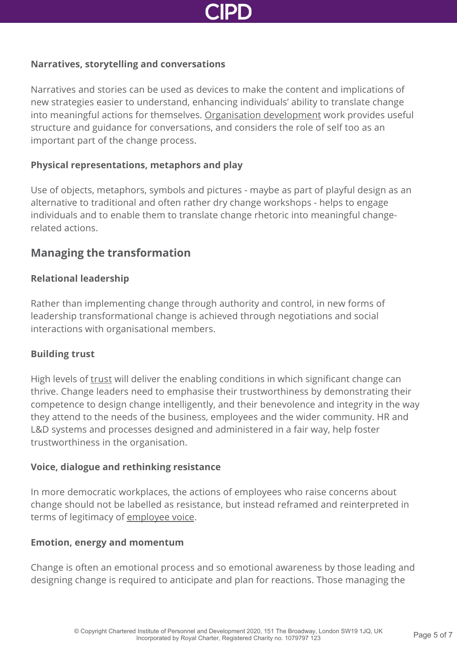

#### **Narratives, storytelling and conversations**

Narratives and stories can be used as devices to make the content and implications of new strategies easier to understand, enhancing individuals' ability to translate change into meaningful actions for themselves. [Organisation development](https://www.cipd.co.uk:443/knowledge/strategy/organisational-development/factsheet/) work provides useful structure and guidance for conversations, and considers the role of self too as an important part of the change process.

#### **Physical representations, metaphors and play**

Use of objects, metaphors, symbols and pictures - maybe as part of playful design as an alternative to traditional and often rather dry change workshops - helps to engage individuals and to enable them to translate change rhetoric into meaningful changerelated actions.

#### **Managing the transformation**

#### **Relational leadership**

Rather than implementing change through authority and control, in new forms of leadership transformational change is achieved through negotiations and social interactions with organisational members.

#### **Building trust**

High levels of [trust](https://www.cipd.co.uk:443/knowledge/culture/ethics/has-trust-gone-report/) will deliver the enabling conditions in which significant change can thrive. Change leaders need to emphasise their trustworthiness by demonstrating their competence to design change intelligently, and their benevolence and integrity in the way they attend to the needs of the business, employees and the wider community. HR and L&D systems and processes designed and administered in a fair way, help foster trustworthiness in the organisation.

#### **Voice, dialogue and rethinking resistance**

In more democratic workplaces, the actions of employees who raise concerns about change should not be labelled as resistance, but instead reframed and reinterpreted in terms of legitimacy of [employee voice](https://www.cipd.co.uk:443/knowledge/fundamentals/relations/communication/voice-factsheet/).

#### **Emotion, energy and momentum**

Change is often an emotional process and so emotional awareness by those leading and designing change is required to anticipate and plan for reactions. Those managing the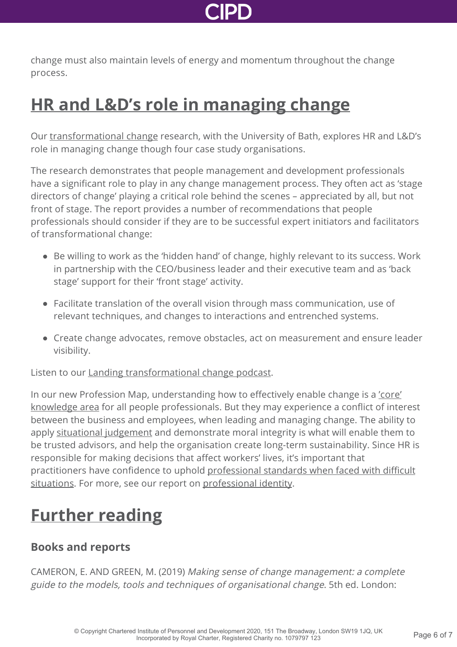change must also maintain levels of energy and momentum throughout the change process.

### **[HR and L&D's role in managing change](https://www.cipd.co.uk/knowledge/strategy/change/management-factsheet?pdf=true#)**

Our [transformational change](http://www.cipd.co.uk/knowledge/strategy/change/theory-practice-report/) research, with the University of Bath, explores HR and L&D's role in managing change though four case study organisations.

The research demonstrates that people management and development professionals have a significant role to play in any change management process. They often act as 'stage directors of change' playing a critical role behind the scenes – appreciated by all, but not front of stage. The report provides a number of recommendations that people professionals should consider if they are to be successful expert initiators and facilitators of transformational change:

- Be willing to work as the 'hidden hand' of change, highly relevant to its success. Work in partnership with the CEO/business leader and their executive team and as 'back stage' support for their 'front stage' activity.
- Facilitate translation of the overall vision through mass communication, use of relevant techniques, and changes to interactions and entrenched systems.
- Create change advocates, remove obstacles, act on measurement and ensure leader visibility.

Listen to our **Landing transformational change podcast**.

[In our new Profession Map, understanding how to effectively enable change is a 'core'](https://peopleprofession.cipd.org/profession-map/core-knowledge/change) knowledge area for all people professionals. But they may experience a conflict of interest between the business and employees, when leading and managing change. The ability to apply [situational judgement](https://peopleprofession.cipd.org/profession-map/core-behaviours/situational-decision-making) and demonstrate moral integrity is what will enable them to be trusted advisors, and help the organisation create long-term sustainability. Since HR is responsible for making decisions that affect workers' lives, it's important that [practitioners have confidence to uphold professional standards when faced with difficult](https://peopleprofession.cipd.org/profession-map/core-behaviours/professional-courage-influence) situations. For more, see our report on [professional identity](http://www.cipd.co.uk/knowledge/strategy/hr/hr-professionalism-report/).

# **[Further reading](https://www.cipd.co.uk/knowledge/strategy/change/management-factsheet?pdf=true#)**

### **Books and reports**

CAMERON, E. AND GREEN, M. (2019) Making sense of change management: a complete guide to the models, tools and techniques of organisational change. 5th ed. London: